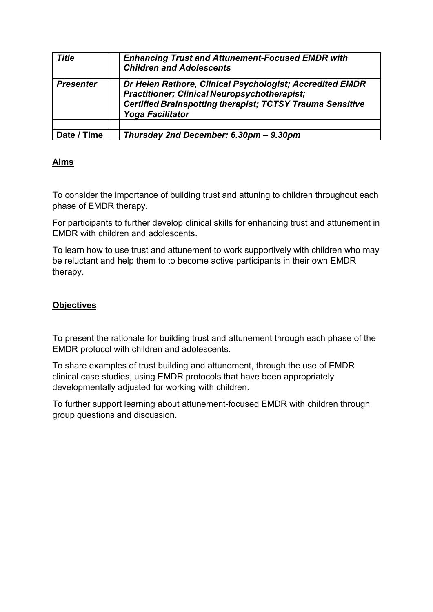| <b>Title</b>     | <b>Enhancing Trust and Attunement-Focused EMDR with</b><br><b>Children and Adolescents</b>                                                                                                                     |
|------------------|----------------------------------------------------------------------------------------------------------------------------------------------------------------------------------------------------------------|
| <b>Presenter</b> | Dr Helen Rathore, Clinical Psychologist; Accredited EMDR<br><b>Practitioner; Clinical Neuropsychotherapist;</b><br><b>Certified Brainspotting therapist; TCTSY Trauma Sensitive</b><br><b>Yoga Facilitator</b> |
|                  |                                                                                                                                                                                                                |
| Date / Time      | Thursday 2nd December: 6.30pm - 9.30pm                                                                                                                                                                         |

## **Aims**

To consider the importance of building trust and attuning to children throughout each phase of EMDR therapy.

For participants to further develop clinical skills for enhancing trust and attunement in EMDR with children and adolescents.

To learn how to use trust and attunement to work supportively with children who may be reluctant and help them to to become active participants in their own EMDR therapy.

# **Objectives**

To present the rationale for building trust and attunement through each phase of the EMDR protocol with children and adolescents.

To share examples of trust building and attunement, through the use of EMDR clinical case studies, using EMDR protocols that have been appropriately developmentally adjusted for working with children.

To further support learning about attunement-focused EMDR with children through group questions and discussion.